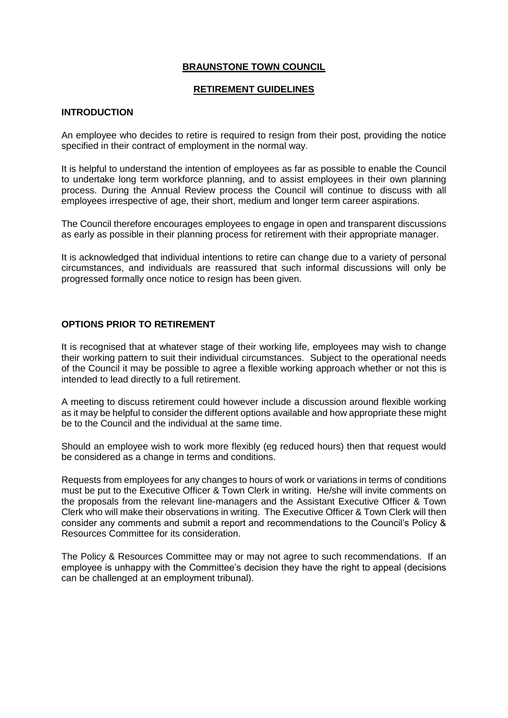### **BRAUNSTONE TOWN COUNCIL**

#### **RETIREMENT GUIDELINES**

#### **INTRODUCTION**

An employee who decides to retire is required to resign from their post, providing the notice specified in their contract of employment in the normal way.

It is helpful to understand the intention of employees as far as possible to enable the Council to undertake long term workforce planning, and to assist employees in their own planning process. During the Annual Review process the Council will continue to discuss with all employees irrespective of age, their short, medium and longer term career aspirations.

The Council therefore encourages employees to engage in open and transparent discussions as early as possible in their planning process for retirement with their appropriate manager.

It is acknowledged that individual intentions to retire can change due to a variety of personal circumstances, and individuals are reassured that such informal discussions will only be progressed formally once notice to resign has been given.

### **OPTIONS PRIOR TO RETIREMENT**

It is recognised that at whatever stage of their working life, employees may wish to change their working pattern to suit their individual circumstances. Subject to the operational needs of the Council it may be possible to agree a flexible working approach whether or not this is intended to lead directly to a full retirement.

A meeting to discuss retirement could however include a discussion around flexible working as it may be helpful to consider the different options available and how appropriate these might be to the Council and the individual at the same time.

Should an employee wish to work more flexibly (eg reduced hours) then that request would be considered as a change in terms and conditions.

Requests from employees for any changes to hours of work or variations in terms of conditions must be put to the Executive Officer & Town Clerk in writing. He/she will invite comments on the proposals from the relevant line-managers and the Assistant Executive Officer & Town Clerk who will make their observations in writing. The Executive Officer & Town Clerk will then consider any comments and submit a report and recommendations to the Council's Policy & Resources Committee for its consideration.

The Policy & Resources Committee may or may not agree to such recommendations. If an employee is unhappy with the Committee's decision they have the right to appeal (decisions can be challenged at an employment tribunal).